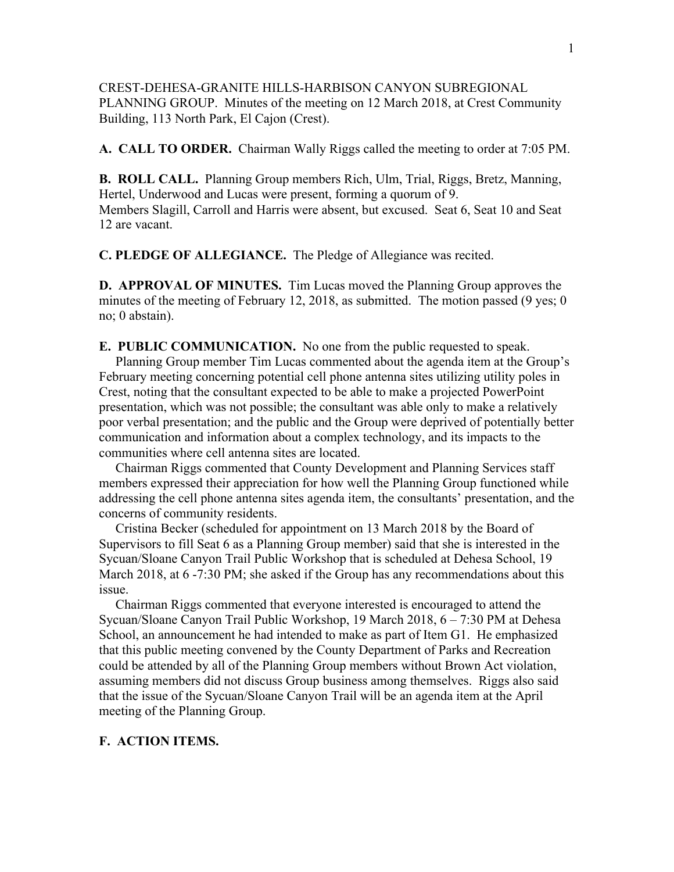# CREST-DEHESA-GRANITE HILLS-HARBISON CANYON SUBREGIONAL PLANNING GROUP. Minutes of the meeting on 12 March 2018, at Crest Community Building, 113 North Park, El Cajon (Crest).

**A. CALL TO ORDER.** Chairman Wally Riggs called the meeting to order at 7:05 PM.

**B. ROLL CALL.** Planning Group members Rich, Ulm, Trial, Riggs, Bretz, Manning, Hertel, Underwood and Lucas were present, forming a quorum of 9. Members Slagill, Carroll and Harris were absent, but excused. Seat 6, Seat 10 and Seat 12 are vacant.

**C. PLEDGE OF ALLEGIANCE.** The Pledge of Allegiance was recited.

**D. APPROVAL OF MINUTES.** Tim Lucas moved the Planning Group approves the minutes of the meeting of February 12, 2018, as submitted. The motion passed (9 yes; 0) no; 0 abstain).

**E. PUBLIC COMMUNICATION.** No one from the public requested to speak. Planning Group member Tim Lucas commented about the agenda item at the Group's February meeting concerning potential cell phone antenna sites utilizing utility poles in Crest, noting that the consultant expected to be able to make a projected PowerPoint presentation, which was not possible; the consultant was able only to make a relatively poor verbal presentation; and the public and the Group were deprived of potentially better communication and information about a complex technology, and its impacts to the communities where cell antenna sites are located.

 Chairman Riggs commented that County Development and Planning Services staff members expressed their appreciation for how well the Planning Group functioned while addressing the cell phone antenna sites agenda item, the consultants' presentation, and the concerns of community residents.

 Cristina Becker (scheduled for appointment on 13 March 2018 by the Board of Supervisors to fill Seat 6 as a Planning Group member) said that she is interested in the Sycuan/Sloane Canyon Trail Public Workshop that is scheduled at Dehesa School, 19 March 2018, at  $6 - 7:30 \text{ PM}$ ; she asked if the Group has any recommendations about this issue.

 Chairman Riggs commented that everyone interested is encouraged to attend the Sycuan/Sloane Canyon Trail Public Workshop, 19 March 2018, 6 – 7:30 PM at Dehesa School, an announcement he had intended to make as part of Item G1. He emphasized that this public meeting convened by the County Department of Parks and Recreation could be attended by all of the Planning Group members without Brown Act violation, assuming members did not discuss Group business among themselves. Riggs also said that the issue of the Sycuan/Sloane Canyon Trail will be an agenda item at the April meeting of the Planning Group.

# **F. ACTION ITEMS.**